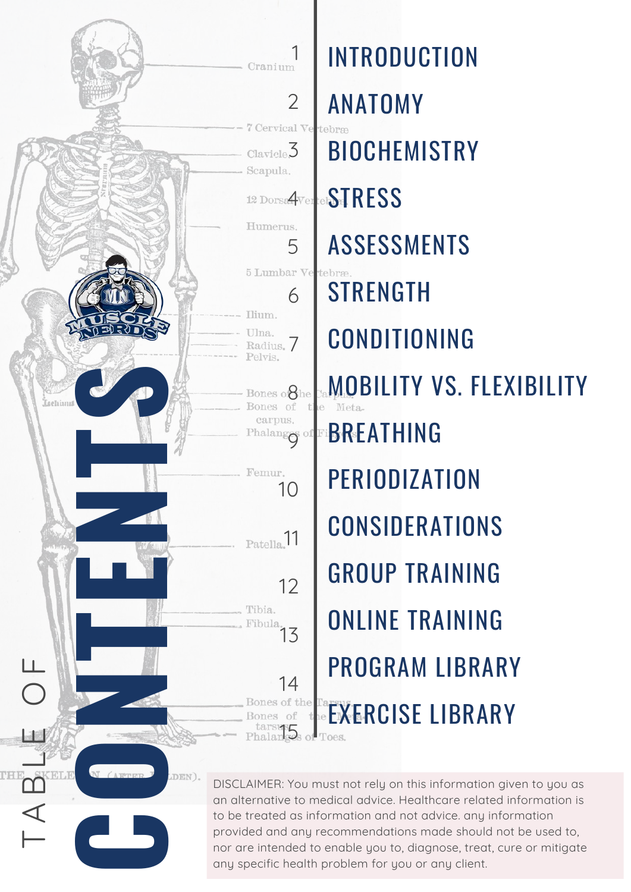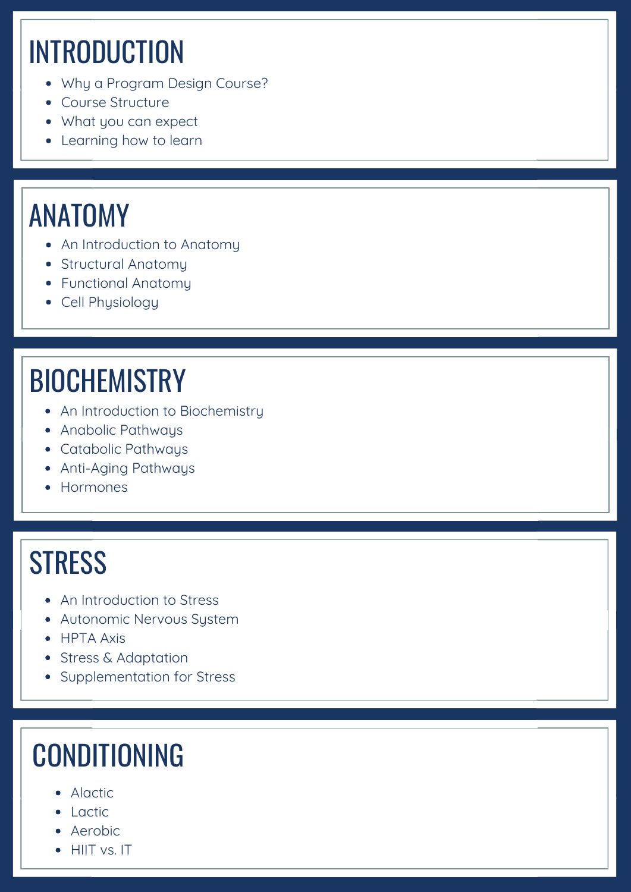# **INTRODUCTION**

- Why a Program Design Course?
- Course Structure
- What you can expect
- Learning how to learn

#### ANATOMY

- An Introduction to Anatomy
- Structural Anatomu
- Functional Anatomy
- Cell Physiology

### **BIOCHEMISTRY**

- An Introduction to Biochemistry
- Anabolic Pathways
- Catabolic Pathways
- Anti-Aging Pathways
- Hormones

#### **STRESS**

- An Introduction to Stress
- Autonomic Nervous System
- HPTA Axis
- Stress & Adaptation
- Supplementation for Stress

#### CONDITIONING

- Alactic
- $\bullet$  Lactic
- Aerobic
- HIIT vs. IT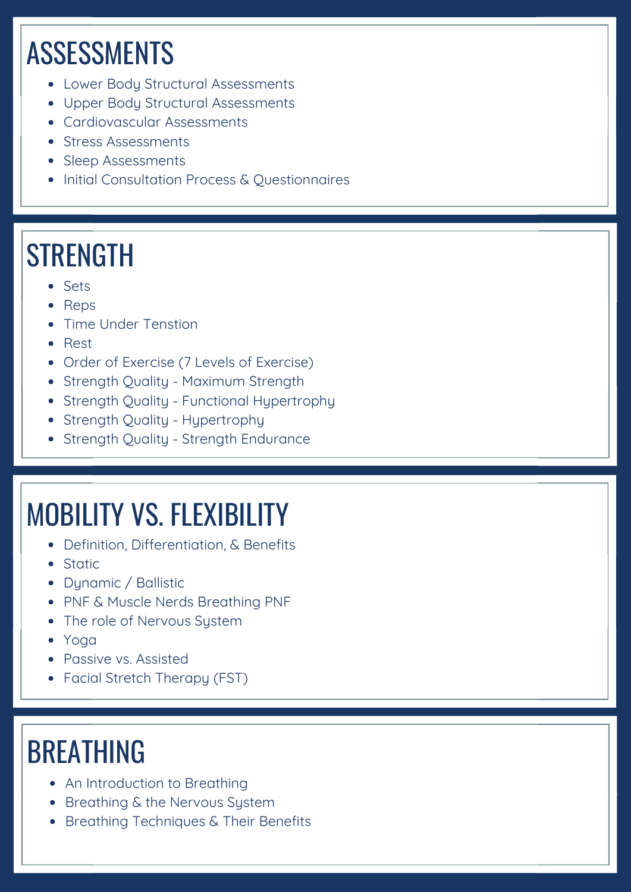# ASSESSMENTS

- Lower Body Structural Assessments
- Upper Body Structural Assessments
- Cardiovascular Assessments
- Stress Assessments
- Sleep Assessments
- Initial Consultation Process & Ouestionnaires

### **STRENGTH**

- Sets
- Reps
- **Time Under Tenstion**
- Rest
- Order of Exercise (7 Levels of Exercise)
- Strength Quality Maximum Strength
- Strength Quality Functional Hypertrophy
- Strength Quality Hypertrophy
- Strength Quality Strength Endurance

### MOBILITY VS. FLEXIBILITY

- Definition, Differentiation, & Benefits
- **•** Static
- Dynamic / Ballistic
- PNF & Muscle Nerds Breathing PNF
- The role of Nervous System
- Yoga
- Passive vs. Assisted
- Facial Stretch Therapy (FST)

#### BREATHING

- An Introduction to Breathing
- Breathing & the Nervous System
- Breathing Techniques & Their Benefits